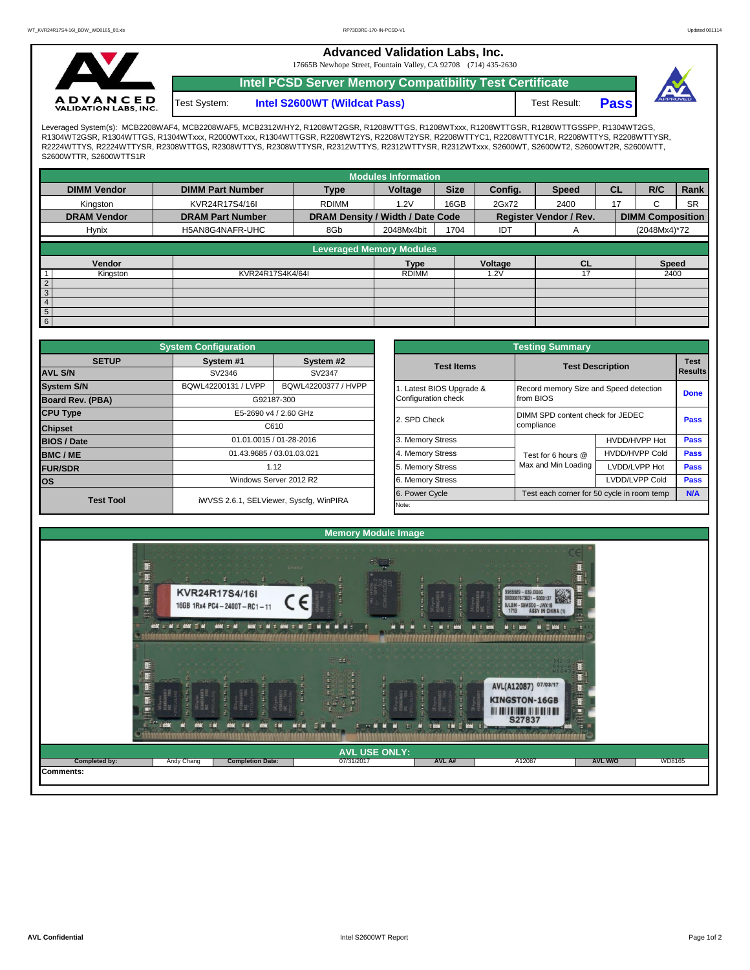**Advanced Validation Labs, Inc.** 

17665B Newhope Street, Fountain Valley, CA 92708 (714) 435-2630



**Intel PCSD Server Memory Compatibility Test Certificate** Test System:

**Intel S2600WT (Wildcat Pass)** Test Result: **Pass** 



Leveraged System(s): MCB2208WAF4, MCB2208WAF5, MCB2312WHY2, R1208WT2GSR, R1208WTTGS, R1208WTXxx, R1208WTTGSR, R1280WTTGSSPP, R1304WT2GS,<br>R1304WT2GSR, R1304WTTGS, R1304WTxxx, R2000WTxxx, R1304WTTGSR, R2208WT2YS, R2208WT2YS R2224WTTYS, R2224WTTYSR, R2308WTTGS, R2308WTTYS, R2308WTTYSR, R2312WTTYS, R2312WTTYSR, R2312WTxxx, S2600WT, S2600WT2, S2600WT2R, S2600WTT, S2600WTTR, S2600WTTS1R

|                    |                         |                                 | <b>Modules Information</b>       |             |         |                               |           |                         |           |  |  |
|--------------------|-------------------------|---------------------------------|----------------------------------|-------------|---------|-------------------------------|-----------|-------------------------|-----------|--|--|
| <b>DIMM Vendor</b> | <b>DIMM Part Number</b> | <b>Type</b>                     | Voltage                          | <b>Size</b> | Config. | <b>Speed</b>                  | <b>CL</b> | R/C                     | Rank      |  |  |
| Kingston           | KVR24R17S4/16I          | <b>RDIMM</b>                    | 16GB<br>1.2V                     |             | 2Gx72   | 2400                          | 17        |                         | <b>SR</b> |  |  |
| <b>DRAM Vendor</b> | <b>DRAM Part Number</b> |                                 | DRAM Density / Width / Date Code |             |         | <b>Register Vendor / Rev.</b> |           | <b>DIMM Composition</b> |           |  |  |
| Hynix              | H5AN8G4NAFR-UHC         | 8Gb                             | 2048Mx4bit                       | 1704        | IDT     | A                             |           | (2048Mx4)*72            |           |  |  |
|                    |                         | <b>Leveraged Memory Modules</b> |                                  |             |         |                               |           |                         |           |  |  |
|                    |                         |                                 |                                  |             |         |                               |           |                         |           |  |  |
| Vendor             |                         |                                 | Type                             |             | Voltage | CL                            |           | <b>Speed</b>            |           |  |  |
| Kingston           | KVR24R17S4K4/64I        |                                 | <b>RDIMM</b>                     |             | 1.2V    | 17                            |           | 2400                    |           |  |  |
| $\overline{2}$     |                         |                                 |                                  |             |         |                               |           |                         |           |  |  |
| $\mathbf{3}$       |                         |                                 |                                  |             |         |                               |           |                         |           |  |  |
| $\overline{4}$     |                         |                                 |                                  |             |         |                               |           |                         |           |  |  |
| $\frac{5}{6}$      |                         |                                 |                                  |             |         |                               |           |                         |           |  |  |
|                    |                         |                                 |                                  |             |         |                               |           |                         |           |  |  |

|                                                                                   | <b>System Configuration</b> |                                         |  |                       |                                        |                                                |             |  |  |  |
|-----------------------------------------------------------------------------------|-----------------------------|-----------------------------------------|--|-----------------------|----------------------------------------|------------------------------------------------|-------------|--|--|--|
| <b>SETUP</b>                                                                      | System #1                   | System #2                               |  | <b>Test Items</b>     | <b>Test Description</b>                | <b>Test</b>                                    |             |  |  |  |
| <b>AVL S/N</b>                                                                    | SV2346                      | SV2347                                  |  |                       |                                        | Results                                        |             |  |  |  |
| <b>System S/N</b>                                                                 | BQWL42200131 / LVPP         | BQWL42200377 / HVPP                     |  | Latest BIOS Upgrade & | Record memory Size and Speed detection | <b>Done</b>                                    |             |  |  |  |
| <b>Board Rev. (PBA)</b><br>G92187-300<br><b>CPU Type</b><br>E5-2690 v4 / 2.60 GHz |                             |                                         |  | Configuration check   | from BIOS                              |                                                |             |  |  |  |
|                                                                                   |                             |                                         |  | 2. SPD Check          |                                        | DIMM SPD content check for JEDEC<br>compliance |             |  |  |  |
| <b>Chipset</b>                                                                    |                             | C610                                    |  |                       |                                        |                                                |             |  |  |  |
| <b>BIOS / Date</b>                                                                |                             | 01.01.0015 / 01-28-2016                 |  | 3. Memory Stress      |                                        | HVDD/HVPP Hot                                  | <b>Pass</b> |  |  |  |
| <b>BMC/ME</b>                                                                     |                             | 01.43.9685 / 03.01.03.021               |  | 4. Memory Stress      | Test for 6 hours @                     | <b>HVDD/HVPP Cold</b>                          | <b>Pass</b> |  |  |  |
| <b>FUR/SDR</b>                                                                    |                             | 1.12                                    |  | 5. Memory Stress      | Max and Min Loading                    | LVDD/LVPP Hot                                  | Pass        |  |  |  |
| <b>los</b>                                                                        |                             | Windows Server 2012 R2                  |  | 6. Memory Stress      |                                        | LVDD/LVPP Cold                                 | Pass        |  |  |  |
| <b>Test Tool</b>                                                                  |                             | iWVSS 2.6.1, SELViewer, Syscfg, WinPIRA |  | 6. Power Cycle        |                                        | Test each corner for 50 cycle in room temp     |             |  |  |  |
|                                                                                   |                             |                                         |  | Note:                 |                                        |                                                |             |  |  |  |

|              | <b>System Configuration</b> |                                         |                       | <b>Testing Summary</b><br><b>Test</b><br><b>Test Description</b><br><b>Results</b><br>Record memory Size and Speed detection<br><b>Done</b><br>from BIOS<br>DIMM SPD content check for JEDEC<br>Pass<br>compliance |                       |      |  |  |  |
|--------------|-----------------------------|-----------------------------------------|-----------------------|--------------------------------------------------------------------------------------------------------------------------------------------------------------------------------------------------------------------|-----------------------|------|--|--|--|
| <b>SETUP</b> | System #1                   | System #2                               | <b>Test Items</b>     |                                                                                                                                                                                                                    |                       |      |  |  |  |
|              | SV2346                      | SV2347                                  |                       |                                                                                                                                                                                                                    |                       |      |  |  |  |
|              | BQWL42200131 / LVPP         | BQWL42200377 / HVPP                     | Latest BIOS Upgrade & |                                                                                                                                                                                                                    |                       |      |  |  |  |
| PBA)         |                             | G92187-300                              | Configuration check   |                                                                                                                                                                                                                    |                       |      |  |  |  |
|              |                             | E5-2690 v4 / 2.60 GHz                   | 2. SPD Check          |                                                                                                                                                                                                                    |                       |      |  |  |  |
|              |                             | C610                                    |                       |                                                                                                                                                                                                                    |                       |      |  |  |  |
|              |                             | 01.01.0015 / 01-28-2016                 | 3. Memory Stress      |                                                                                                                                                                                                                    | HVDD/HVPP Hot         | Pass |  |  |  |
|              |                             | 01.43.9685 / 03.01.03.021               | 4. Memory Stress      | Test for 6 hours @                                                                                                                                                                                                 | <b>HVDD/HVPP Cold</b> | Pass |  |  |  |
|              |                             | 1.12                                    | 5. Memory Stress      | Max and Min Loading                                                                                                                                                                                                | LVDD/LVPP Hot         | Pass |  |  |  |
|              |                             | Windows Server 2012 R2                  | 6. Memory Stress      |                                                                                                                                                                                                                    | LVDD/LVPP Cold        | Pass |  |  |  |
| est Tool     |                             | iWVSS 2.6.1, SELViewer, Syscfg, WinPIRA | 6. Power Cycle        | Test each corner for 50 cycle in room temp                                                                                                                                                                         | N/A                   |      |  |  |  |
|              |                             |                                         | Note:                 |                                                                                                                                                                                                                    |                       |      |  |  |  |